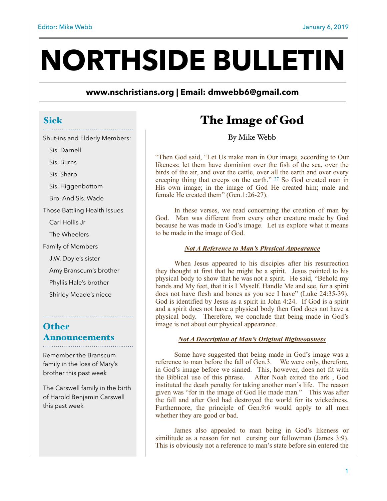# **NORTHSIDE BULLETIN**

**[www.nschristians.org](http://www.nschristians.org) | Email: [dmwebb6@gmail.com](mailto:dmwebb6@gmail.com)**

### Sick

- Shut-ins and Elderly Members:
	- Sis. Darnell
	- Sis. Burns

Sis. Sharp

Sis. Higgenbottom

Bro. And Sis. Wade

Those Battling Health Issues

Carl Hollis Jr

The Wheelers

Family of Members

J.W. Doyle's sister

Amy Branscum's brother

Phyllis Hale's brother

Shirley Meade's niece

## **Other** Announcements

Remember the Branscum family in the loss of Mary's brother this past week

The Carswell family in the birth of Harold Benjamin Carswell this past week

# The Image of God

By Mike Webb

"Then God said, "Let Us make man in Our image, according to Our likeness; let them have dominion over the fish of the sea, over the birds of the air, and over the cattle, over all the earth and over every creeping thing that creeps on the earth." 27 So God created man in His own image; in the image of God He created him; male and female He created them" (Gen.1:26-27).

 In these verses, we read concerning the creation of man by God. Man was different from every other creature made by God because he was made in God's image. Let us explore what it means to be made in the image of God.

#### *Not A Reference to Man's Physical Appearance*

 When Jesus appeared to his disciples after his resurrection they thought at first that he might be a spirit. Jesus pointed to his physical body to show that he was not a spirit. He said, "Behold my hands and My feet, that it is I Myself. Handle Me and see, for a spirit does not have flesh and bones as you see I have" (Luke 24:35-39). God is identified by Jesus as a spirit in John 4:24. If God is a spirit and a spirit does not have a physical body then God does not have a physical body. Therefore, we conclude that being made in God's image is not about our physical appearance.

#### *Not A Description of Man's Original Righteousness*

 Some have suggested that being made in God's image was a reference to man before the fall of Gen.3. We were only, therefore, in God's image before we sinned. This, however, does not fit with the Biblical use of this phrase. After Noah exited the ark , God instituted the death penalty for taking another man's life. The reason given was "for in the image of God He made man." This was after the fall and after God had destroyed the world for its wickedness. Furthermore, the principle of Gen.9:6 would apply to all men whether they are good or bad.

 James also appealed to man being in God's likeness or similitude as a reason for not cursing our fellowman (James 3:9). This is obviously not a reference to man's state before sin entered the